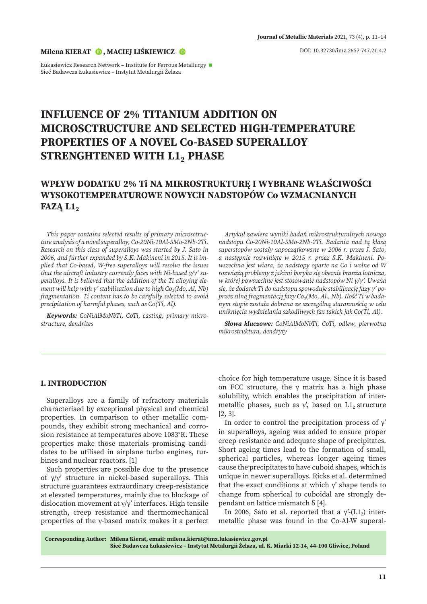#### **Milena KIERAT [,](https://orcid.org/0000-0002-6288-197X) MACIEJ LIŚKIEWICZ**

Łukasiewicz Research Network – Institute for Ferrous Metallurgy < Sieć Badawcza Łukasiewicz – Instytut Metalurgii Żelaza

# **INFLUENCE OF 2% TITANIUM ADDITION ON MICROSCTRUCTURE AND SELECTED HIGH-TEMPERATURE PROPERTIES OF A NOVEL Co-BASED SUPERALLOY STRENGHTENED WITH L1, PHASE**

## **WPŁYW DODATKU 2% Ti NA MIKROSTRUKTURĘ I WYBRANE WŁAŚCIWOŚCI WYSOKOTEMPERATUROWE NOWYCH NADSTOPÓW Co WZMACNIANYCH FAZĄ L12**

*This paper contains selected results of primary microsctructure analysis of a novel superalloy, Co-20Ni-10Al-5Mo-2Nb-2Ti. Research on this class of superalloys was started by J. Sato in 2006, and further expanded by S.K. Makineni in 2015. It is implied that Co-based, W-free superalloys will resolve the issues that the aircraft industry currently faces with Ni-based γ/γ' superalloys. It is believed that the addition of the Ti alloying element will help with γ' stabilisation due to high Co<sub>3</sub>(Mo, Al, Nb) fragmentation. Ti content has to be carefully selected to avoid precipitation of harmful phases, such as Co(Ti, Al).*

*Keywords: CoNiAlMoNbTi, CoTi, casting, primary microstructure, dendrites*

*Artykuł zawiera wyniki badań mikrostrukturalnych nowego nadstopu Co-20Ni-10Al-5Mo-2Nb-2Ti. Badania nad tą klasą superstopów zostały zapoczątkowane w 2006 r. przez J. Sato, a następnie rozwinięte w 2015 r. przez S.K. Makineni. Powszechna jest wiara, że nadstopy oparte na Co i wolne od W rozwiążą problemy z jakimi boryka się obecnie branża lotnicza, w której powszechne jest stosowanie nadstopów Ni γ/γ'. Uważa się, że dodatek Ti do nadstopu spowoduje stabilizację fazy γ' poprzez silną fragmentację fazy Co3(Mo, Al., Nb). Ilość Ti w badanym stopie została dobrana ze szczególną starannością w celu uniknięcia wydzielania szkodliwych faz takich jak Co(Ti, Al).*

*Słowa kluczowe: CoNiAlMoNbTi, CoTi, odlew, pierwotna mikrostruktura, dendryty*

## **1. INTRODUCTION**

Superalloys are a family of refractory materials characterised by exceptional physical and chemical properties. In comparison to other metallic compounds, they exhibit strong mechanical and corrosion resistance at temperatures above 1083°K. These properties make those materials promising candidates to be utilised in airplane turbo engines, turbines and nuclear reactors. [1]

Such properties are possible due to the presence of γ/γ' structure in nickel-based superalloys. This structure guarantees extraordinary creep-resistance at elevated temperatures, mainly due to blockage of dislocation movement at γ/γ' interfaces. High tensile strength, creep resistance and thermomechanical properties of the γ-based matrix makes it a perfect

choice for high temperature usage. Since it is based on FCC structure, the γ matrix has a high phase solubility, which enables the precipitation of intermetallic phases, such as  $\gamma'$ , based on L1<sub>2</sub> structure [2, 3].

In order to control the precipitation process of  $\gamma'$ in superalloys, ageing was added to ensure proper creep-resistance and adequate shape of precipitates. Short ageing times lead to the formation of small, spherical particles, whereas longer ageing times cause the precipitates to have cuboid shapes, which is unique in newer superalloys. Ricks et al. determined that the exact conditions at which  $y'$  shape tends to change from spherical to cuboidal are strongly dependant on lattice mismatch  $δ$  [4].

In 2006, Sato et al. reported that a  $\gamma$ <sup>2</sup>-(L1<sub>2</sub>) intermetallic phase was found in the Co-Al-W superal-

**Corresponding Author: Milena Kierat, email: milena.kierat@imz.lukasiewicz.gov.pl Sieć Badawcza Łukasiewicz – Instytut Metalurgii Żelaza, ul. K. Miarki 12-14, 44-100 Gliwice, Poland**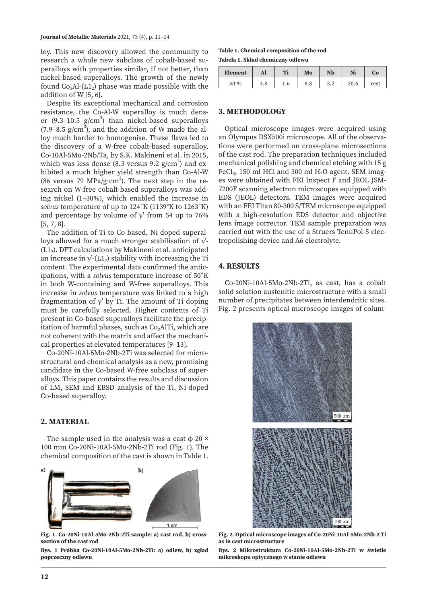loy. This new discovery allowed the community to research a whole new subclass of cobalt-based superalloys with properties similar, if not better, than nickel-based superalloys. The growth of the newly found  $Co<sub>3</sub>Al-(L1<sub>2</sub>)$  phase was made possible with the addition of W [5, 6].

Despite its exceptional mechanical and corrosion resistance, the Co-Al-W superalloy is much denser (9.3-10.5  $g/cm<sup>3</sup>$ ) than nickel-based superalloys (7.9–8.5 g/cm<sup>3</sup>), and the addition of W made the alloy much harder to homogenise. These flaws led to the discovery of a W-free cobalt-based superalloy, Co-10Al-5Mo-2Nb/Ta, by S.K. Makineni et al. in 2015, which was less dense (8.3 versus 9.2  $\rm g/cm^3)$  and exhibited a much higher yield strength than Co-Al-W (86 versus 79 MPa/g·cm<sup>3</sup>). The next step in the research on W-free cobalt-based superalloys was adding nickel (1–30%), which enabled the increase in *solvus* temperature of up to 124˚K (1139°K to 1263˚K) and percentage by volume of  $γ'$  from 54 up to 76% [5, 7, 8].

The addition of Ti to Co-based, Ni doped superalloys allowed for a much stronger stabilisation of γ'-  $(L1<sub>2</sub>)$ . DFT calculations by Makineni et al. anticipated an increase in  $\gamma$ <sup>2</sup>-(L1<sub>2</sub>) stability with increasing the Ti content. The experimental data confirmed the anticipations, with a *solvus* temperature increase of 50˚K in both W-containing and W-free superalloys. This increase in *solvus* temperature was linked to a high fragmentation of γ' by Ti. The amount of Ti doping must be carefully selected. Higher contents of Ti present in Co-based superalloys facilitate the precipitation of harmful phases, such as  $Co<sub>2</sub>AlTi$ , which are not coherent with the matrix and affect the mechanical properties at elevated temperatures [9–13].

Co-20Ni-10Al-5Mo-2Nb-2Ti was selected for microstructural and chemical analysis as a new, promising candidate in the Co-based W-free subclass of superalloys. This paper contains the results and discussion of LM, SEM and EBSD analysis of the Ti, Ni-doped Co-based superalloy.

## **2. MATERIAL**

The sample used in the analysis was a cast  $\phi$  20  $\times$ 100 mm Co-20Ni-10Al-5Mo-2Nb-2Ti rod (Fig. 1). The chemical composition of the cast is shown in Table 1.



**Fig. 1. Co-20Ni-10Al-5Mo-2Nb-2Ti sample: a) cast rod, b) crosssection of the cast rod**

**Rys. 1 Próbka Co-20Ni-10Al-5Mo-2Nb-2Ti: a) odlew, b) zgład poprzeczny odlewu**

## **Table 1. Chemical composition of the rod**

**Tabela 1. Skład chemiczny odlewu**

| <b>Element</b> | Al  | Ti  | Mo  | Nb         | Ni   | Co   |
|----------------|-----|-----|-----|------------|------|------|
| $wt$ %         | 4.8 | 1.6 | 8.8 | າ າ<br>J.∠ | 20.6 | rest |

## **3. METHODOLOGY**

Optical microscope images were acquired using an Olympus DSX500i microscope. All of the observations were performed on cross-plane microsections of the cast rod. The preparation techniques included mechanical polishing and chemical etching with 15 g FeCl<sub>3</sub>, 150 ml HCl and 300 ml H<sub>2</sub>O agent. SEM images were obtained with FEI Inspect F and JEOL JSM-7200F scanning electron microscopes equipped with EDS (JEOL) detectors. TEM images were acquired with an FEI Titan 80-300 S/TEM microscope equipped with a high-resolution EDS detector and objective lens image corrector. TEM sample preparation was carried out with the use of a Struers TenuPol-5 electropolishing device and A6 electrolyte.

### **4. RESULTS**

Co-20Ni-10Al-5Mo-2Nb-2Ti, as cast, has a cobalt solid solution austenitic microstructure with a small number of precipitates between interdendritic sites. Fig. 2 presents optical microscope images of colum-



**Fig. 2. Optical microscope images of Co-20Ni-10Al-5Mo-2Nb-2 Ti as in cast microstructure**

**Rys. 2 Mikrostruktura Co-20Ni-10Al-5Mo-2Nb-2Ti w świetle mikroskopu optycznego w stanie odlewu**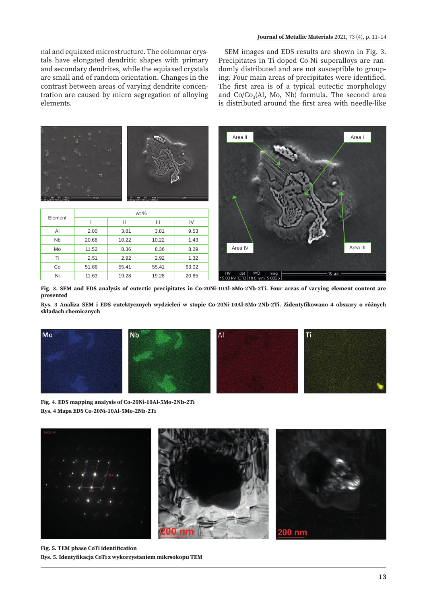nal and equiaxed microstructure. The columnar crystals have elongated dendritic shapes with primary and secondary dendrites, while the equiaxed crystals are small and of random orientation. Changes in the contrast between areas of varying dendrite concentration are caused by micro segregation of alloying elements.

SEM images and EDS results are shown in Fig. 3. Precipitates in Ti-doped Co-Ni superalloys are randomly distributed and are not susceptible to grouping. Four main areas of precipitates were identified. The first area is of a typical eutectic morphology and  $Co/Co_3(Al, Mo, Nb)$  formula. The second area is distributed around the first area with needle-like



**Fig. 3. SEM and EDS analysis of eutectic precipitates in Co-20Ni-10Al-5Mo-2Nb-2Ti. Four areas of varying element content are presented**

**Rys. 3 Analiza SEM i EDS eutektycznych wydzieleń w stopie Co-20Ni-10Al-5Mo-2Nb-2Ti. Zidentyfikowano 4 obszary o różnych składach chemicznych**



**Fig. 4. EDS mapping analysis of Co-20Ni-10Al-5Mo-2Nb-2Ti Rys. 4 Mapa EDS Co-20Ni-10Al-5Mo-2Nb-2Ti**



**Fig. 5. TEM phase CoTi identification Rys. 5. Identyfikacja CoTi z wykorzystaniem mikrsokopu TEM**